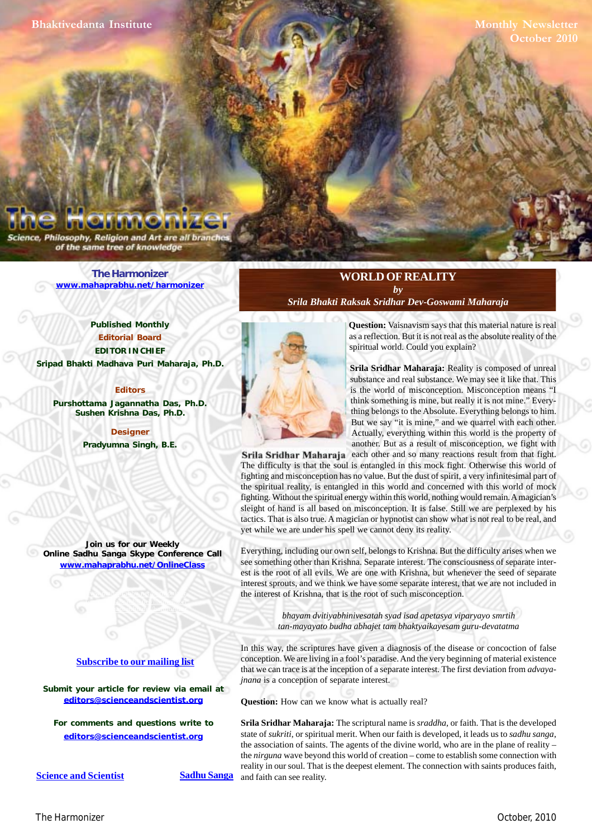**Monthly Newsletter October 2010**

Philosophy, Religion and Art are all bra of the same tree of knowledge

> **[The Harmonizer](http://www.mahaprabhu.net/harmonizer) www.mahaprabhu.net/harmonizer**

**Published Monthly Editorial Board EDITOR IN CHIEF [Sripad Bhakti Madhava Puri Maharaja, Ph.D.](http://mahaprabhu.net/sadhusanga/blog1.php/2009/10/01/affectionate-guardians)**

**Editors Purshottama Jagannatha Das, Ph.D. Sushen Krishna Das, Ph.D.**

> **Designer Pradyumna Singh, B.E.**

**Join us for our Weekly Online Sadhu Sanga Skype Conference Call**

**www.mahaprabhu.net/OnlineClass**

www.mahaprabhu.net/harmonizer www.mahapprabhu.net/harmonizer www.mahaprabhu.net/harmonizer

**[Subscribe to our mailing list](http://mahaprabhu.net/satsanga/subscribe-to-satsanga-mailing-list/)**

Submit your article for review via email at **editors@scienceandscientist.org**

**For comments and questions write to editors@scienceandscientist.org**

**Question:** Vaisnavism says that this material nature is real as a reflection. But it is not real as the absolute reality of the spiritual world. Could you explain?

substance and real substance. We may see it like that. This **Srila Sridhar Maharaja:** Reality is composed of unreal is the world of misconception. Misconception means "I think something is mine, but really it is not mine." Everything belongs to the Absolute. Everything belongs to him. But we say "it is mine," and we quarrel with each other. Actually, everything within this world is the property of another. But as a result of misconception, we fight with

**Srila Sridhar Maharaja** each other and so many reactions result from that fight. The difficulty is that the soul is entangled in this mock fight. Otherwise this world of fighting and misconception has no value. But the dust of spirit, a very infinitesimal part of the spiritual reality, is entangled in this world and concerned with this world of mock fighting. Without the spiritual energy within this world, nothing would remain. A magician's sleight of hand is all based on misconception. It is false. Still we are perplexed by his tactics. That is also true. A magician or hypnotist can show what is not real to be real, and yet while we are under his spell we cannot deny its reality.

**WORLD OF REALITY** *by [Srila Bhakti Raksak Sridhar Dev-Goswami Maharaja](http://www.scsmath.com/docs/sridhar_maharaj.html)*

Everything, including our own self, belongs to Krishna. But the difficulty arises when we see something other than Krishna. Separate interest. The consciousness of separate interest is the root of all evils. We are one with Krishna, but whenever the seed of separate interest sprouts, and we think we have some separate interest, that we are not included in the interest of Krishna, that is the root of such misconception.

> *bhayam dvitiyabhinivesatah syad isad apetasya viparyayo smrtih tan-mayayato budha abhajet tam bhaktyaikayesam guru-devatatma*

In this way, the scriptures have given a diagnosis of the disease or concoction of false conception. We are living in a fool's paradise. And the very beginning of material existence that we can trace is at the inception of a separate interest. The first deviation from *advayajnana* is a conception of separate interest.

**Question:** How can we know what is actually real?

**Srila Sridhar Maharaja:** The scriptural name is *sraddha*, or faith. That is the developed state of *sukriti*, or spiritual merit. When our faith is developed, it leads us to *sadhu sanga*, the association of saints. The agents of the divine world, who are in the plane of reality – the *nirguna* wave beyond this world of creation – come to establish some connection with reality in our soul. That is the deepest element. The connection with saints produces faith, Sadhu Sanga and faith can see reality.

**<u>Science and Scientist</u> Sadhu Sanga**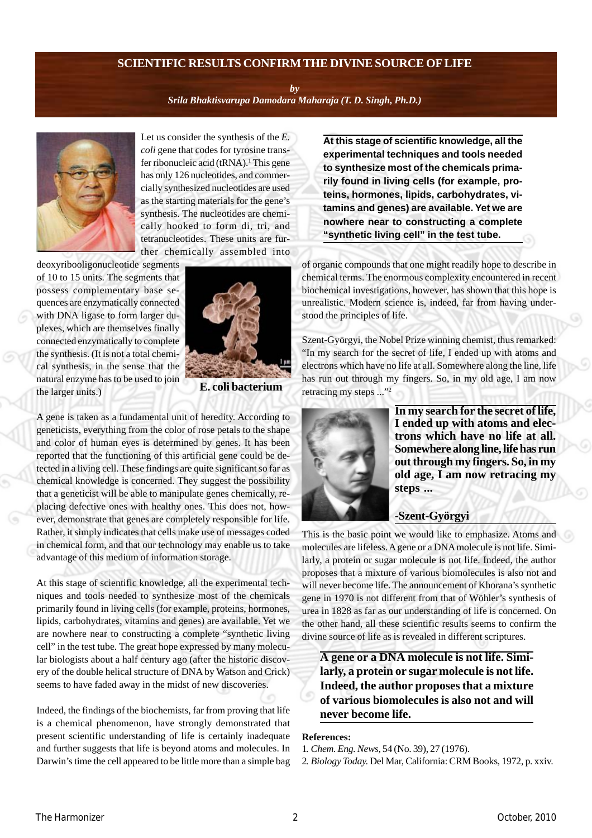# **SCIENTIFIC RESULTS CONFIRM THE DIVINE SOURCE OF LIFE**

*by*

*[Srila Bhaktisvarupa Damodara Maharaja \(T. D. Singh, Ph.D.\)](http://mahaprabhu.net/sadhusanga/blog1.php/2009/10/01/affectionate-guardians)*



Let us consider the synthesis of the *E. coli* gene that codes for tyrosine transfer ribonucleic acid (tRNA).<sup>1</sup> This gene has only 126 nucleotides, and commercially synthesized nucleotides are used as the starting materials for the gene's synthesis. The nucleotides are chemically hooked to form di, tri, and tetranucleotides. These units are further chemically assembled into

deoxyribooligonucleotide segments of 10 to 15 units. The segments that possess complementary base sequences are enzymatically connected with DNA ligase to form larger duplexes, which are themselves finally connected enzymatically to complete the synthesis. (It is not a total chemical synthesis, in the sense that the natural enzyme has to be used to join the larger units.)



**E. coli bacterium**

A gene is taken as a fundamental unit of heredity. According to geneticists, everything from the color of rose petals to the shape and color of human eyes is determined by genes. It has been reported that the functioning of this artificial gene could be detected in a living cell. These findings are quite significant so far as chemical knowledge is concerned. They suggest the possibility that a geneticist will be able to manipulate genes chemically, replacing defective ones with healthy ones. This does not, however, demonstrate that genes are completely responsible for life. Rather, it simply indicates that cells make use of messages coded in chemical form, and that our technology may enable us to take advantage of this medium of information storage.

At this stage of scientific knowledge, all the experimental techniques and tools needed to synthesize most of the chemicals primarily found in living cells (for example, proteins, hormones, lipids, carbohydrates, vitamins and genes) are available. Yet we are nowhere near to constructing a complete "synthetic living cell" in the test tube. The great hope expressed by many molecular biologists about a half century ago (after the historic discovery of the double helical structure of DNA by Watson and Crick) seems to have faded away in the midst of new discoveries.

Indeed, the findings of the biochemists, far from proving that life is a chemical phenomenon, have strongly demonstrated that present scientific understanding of life is certainly inadequate and further suggests that life is beyond atoms and molecules. In Darwin's time the cell appeared to be little more than a simple bag **At this stage of scientific knowledge, all the experimental techniques and tools needed to synthesize most of the chemicals primarily found in living cells (for example, proteins, hormones, lipids, carbohydrates, vitamins and genes) are available. Yet we are nowhere near to constructing a complete "synthetic living cell" in the test tube.**

of organic compounds that one might readily hope to describe in chemical terms. The enormous complexity encountered in recent biochemical investigations, however, has shown that this hope is unrealistic. Modern science is, indeed, far from having understood the principles of life.

Szent-Györgyi, the Nobel Prize winning chemist, thus remarked: "In my search for the secret of life, I ended up with atoms and electrons which have no life at all. Somewhere along the line, life has run out through my fingers. So, in my old age, I am now retracing my steps ..."2



**In my search for the secret of life, I ended up with atoms and electrons which have no life at all. Somewhere along line, life has run out through my fingers. So, in my old age, I am now retracing my steps ...**

## **-Szent-Györgyi**

This is the basic point we would like to emphasize. Atoms and molecules are lifeless. A gene or a DNA molecule is not life. Similarly, a protein or sugar molecule is not life. Indeed, the author proposes that a mixture of various biomolecules is also not and will never become life. The announcement of Khorana's synthetic gene in 1970 is not different from that of Wöhler's synthesis of urea in 1828 as far as our understanding of life is concerned. On the other hand, all these scientific results seems to confirm the divine source of life as is revealed in different scriptures.

**A gene or a DNA molecule is not life. Similarly, a protein or sugar molecule is not life. Indeed, the author proposes that a mixture of various biomolecules is also not and will never become life.**

#### **References:**

1. *Chem. Eng. News,* 54 (No. 39), 27 (1976).

2. *Biology Today.* Del Mar, California: CRM Books, 1972, p. xxiv.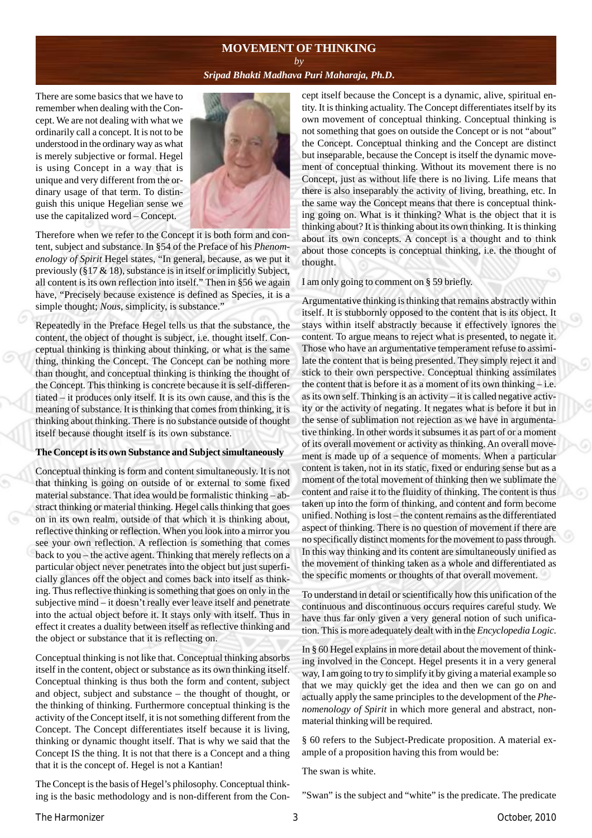## **MOVEMENT OF THINKING** *by*

# *[Sripad Bhakti Madhava Puri Maharaja, Ph.D](http://mahaprabhu.net/sadhusanga/blog1.php/2009/10/01/affectionate-guardians)***.**

There are some basics that we have to remember when dealing with the Concept. We are not dealing with what we ordinarily call a concept. It is not to be understood in the ordinary way as what is merely subjective or formal. Hegel is using Concept in a way that is unique and very different from the ordinary usage of that term. To distinguish this unique Hegelian sense we use the capitalized word – Concept.



Therefore when we refer to the Concept it is both form and content, subject and substance. In §54 of the Preface of his *Phenomenology of Spirit* Hegel states, "In general, because, as we put it previously  $(§17 \& 18)$ , substance is in itself or implicitly Subject, all content is its own reflection into itself." Then in §56 we again have, "Precisely because existence is defined as Species, it is a simple thought; *Nous*, simplicity, is substance."

Repeatedly in the Preface Hegel tells us that the substance, the content, the object of thought is subject, i.e. thought itself. Conceptual thinking is thinking about thinking, or what is the same thing, thinking the Concept. The Concept can be nothing more than thought, and conceptual thinking is thinking the thought of the Concept. This thinking is concrete because it is self-differentiated – it produces only itself. It is its own cause, and this is the meaning of substance. It is thinking that comes from thinking, it is thinking about thinking. There is no substance outside of thought itself because thought itself is its own substance.

#### **The Concept is its own Substance and Subject simultaneously**

Conceptual thinking is form and content simultaneously. It is not that thinking is going on outside of or external to some fixed material substance. That idea would be formalistic thinking – abstract thinking or material thinking. Hegel calls thinking that goes on in its own realm, outside of that which it is thinking about, reflective thinking or reflection. When you look into a mirror you see your own reflection. A reflection is something that comes back to you – the active agent. Thinking that merely reflects on a particular object never penetrates into the object but just superficially glances off the object and comes back into itself as thinking. Thus reflective thinking is something that goes on only in the subjective mind – it doesn't really ever leave itself and penetrate into the actual object before it. It stays only with itself. Thus in effect it creates a duality between itself as reflective thinking and the object or substance that it is reflecting on.

Conceptual thinking is not like that. Conceptual thinking absorbs itself in the content, object or substance as its own thinking itself. Conceptual thinking is thus both the form and content, subject and object, subject and substance – the thought of thought, or the thinking of thinking. Furthermore conceptual thinking is the activity of the Concept itself, it is not something different from the Concept. The Concept differentiates itself because it is living, thinking or dynamic thought itself. That is why we said that the Concept IS the thing. It is not that there is a Concept and a thing that it is the concept of. Hegel is not a Kantian!

The Concept is the basis of Hegel's philosophy. Conceptual thinking is the basic methodology and is non-different from the Concept itself because the Concept is a dynamic, alive, spiritual entity. It is thinking actuality. The Concept differentiates itself by its own movement of conceptual thinking. Conceptual thinking is not something that goes on outside the Concept or is not "about" the Concept. Conceptual thinking and the Concept are distinct but inseparable, because the Concept is itself the dynamic movement of conceptual thinking. Without its movement there is no Concept, just as without life there is no living. Life means that there is also inseparably the activity of living, breathing, etc. In the same way the Concept means that there is conceptual thinking going on. What is it thinking? What is the object that it is thinking about? It is thinking about its own thinking. It is thinking about its own concepts. A concept is a thought and to think about those concepts is conceptual thinking, i.e. the thought of thought.

#### I am only going to comment on § 59 briefly.

Argumentative thinking is thinking that remains abstractly within itself. It is stubbornly opposed to the content that is its object. It stays within itself abstractly because it effectively ignores the content. To argue means to reject what is presented, to negate it. Those who have an argumentative temperament refuse to assimilate the content that is being presented. They simply reject it and stick to their own perspective. Conceptual thinking assimilates the content that is before it as a moment of its own thinking – i.e. as its own self. Thinking is an activity – it is called negative activity or the activity of negating. It negates what is before it but in the sense of sublimation not rejection as we have in argumentative thinking. In other words it subsumes it as part of or a moment of its overall movement or activity as thinking. An overall movement is made up of a sequence of moments. When a particular content is taken, not in its static, fixed or enduring sense but as a moment of the total movement of thinking then we sublimate the content and raise it to the fluidity of thinking. The content is thus taken up into the form of thinking, and content and form become unified. Nothing is lost – the content remains as the differentiated aspect of thinking. There is no question of movement if there are no specifically distinct moments for the movement to pass through. In this way thinking and its content are simultaneously unified as the movement of thinking taken as a whole and differentiated as the specific moments or thoughts of that overall movement.

To understand in detail or scientifically how this unification of the continuous and discontinuous occurs requires careful study. We have thus far only given a very general notion of such unification. This is more adequately dealt with in the *Encyclopedia Logic*.

In § 60 Hegel explains in more detail about the movement of thinking involved in the Concept. Hegel presents it in a very general way, I am going to try to simplify it by giving a material example so that we may quickly get the idea and then we can go on and actually apply the same principles to the development of the *Phenomenology of Spirit* in which more general and abstract, nonmaterial thinking will be required.

§ 60 refers to the Subject-Predicate proposition. A material example of a proposition having this from would be:

The swan is white.

"Swan" is the subject and "white" is the predicate. The predicate

[The Harmonizer](http://www.mahaprabhu.net/harmonizer) 3 October, 2010